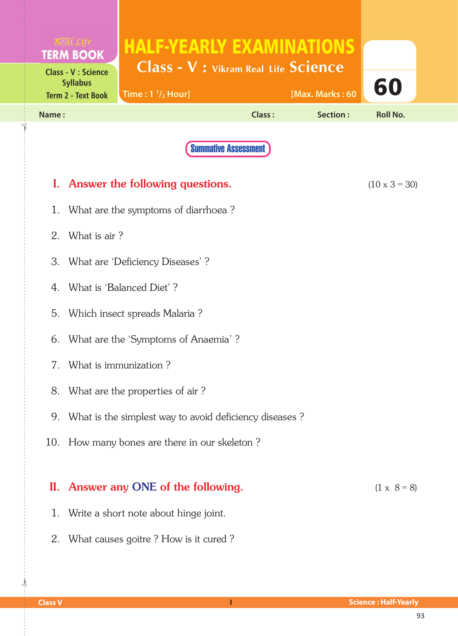|                                              |                                                        | <b>HALF-YEARLY EXAMINATIONS</b>               |        |                 |                      |  |
|----------------------------------------------|--------------------------------------------------------|-----------------------------------------------|--------|-----------------|----------------------|--|
|                                              | <b>TERM BOOK</b><br><b>Class - V : Science</b>         | <b>Class - V : Vikram Real Life Science</b>   |        |                 |                      |  |
| <b>Syllabus</b><br><b>Term 2 - Text Book</b> |                                                        | Time: $1 \frac{1}{2}$ Hour]                   |        | [Max. Marks: 60 | 60                   |  |
| Name:                                        |                                                        |                                               | Class: | Section:        | <b>Roll No.</b>      |  |
|                                              |                                                        | <b>Summative Assessment</b>                   |        |                 |                      |  |
|                                              |                                                        | I. Answer the following questions.            |        |                 | $(10 \times 3 = 30)$ |  |
| 1.                                           | What are the symptoms of diarrhoea?                    |                                               |        |                 |                      |  |
| 2.                                           | What is air?                                           |                                               |        |                 |                      |  |
|                                              | 3. What are 'Deficiency Diseases'?                     |                                               |        |                 |                      |  |
| 4.                                           | What is 'Balanced Diet'?                               |                                               |        |                 |                      |  |
| 5.                                           | Which insect spreads Malaria?                          |                                               |        |                 |                      |  |
| 6.                                           | What are the 'Symptoms of Anaemia'?                    |                                               |        |                 |                      |  |
|                                              | 7. What is immunization?                               |                                               |        |                 |                      |  |
| 8.                                           | What are the properties of air?                        |                                               |        |                 |                      |  |
| 9.                                           | What is the simplest way to avoid deficiency diseases? |                                               |        |                 |                      |  |
|                                              |                                                        | 10. How many bones are there in our skeleton? |        |                 |                      |  |
|                                              |                                                        | II. Answer any ONE of the following.          |        |                 | $(1 \times 8 = 8)$   |  |
| 1.                                           |                                                        | Write a short note about hinge joint.         |        |                 |                      |  |

2. What causes goitre ? How is it cured ?

 $\frac{1}{2}$ 

✁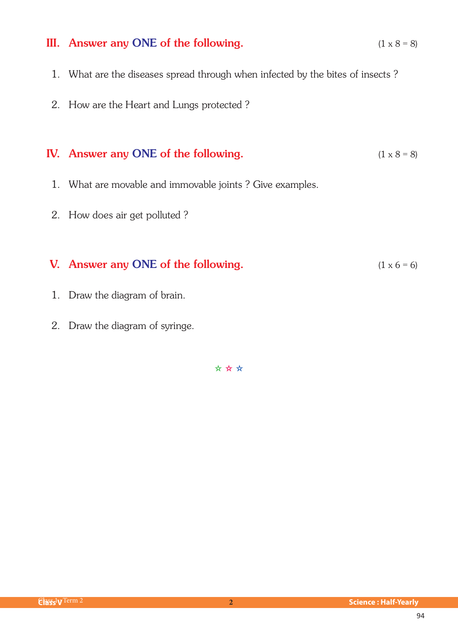#### III. Answer any ONE of the following.  $(1 \times 8 = 8)$

- 1. What are the diseases spread through when infected by the bites of insects ?
- 2. How are the Heart and Lungs protected ?

## IV. Answer any ONE of the following.  $(1 \times 8 = 8)$

- 1. What are movable and immovable joints ? Give examples.
- 2. How does air get polluted ?

### V. Answer any ONE of the following.  $(1 \times 6 = 6)$

- 1. Draw the diagram of brain.
- 2. Draw the diagram of syringe.

✫ ✫ ✫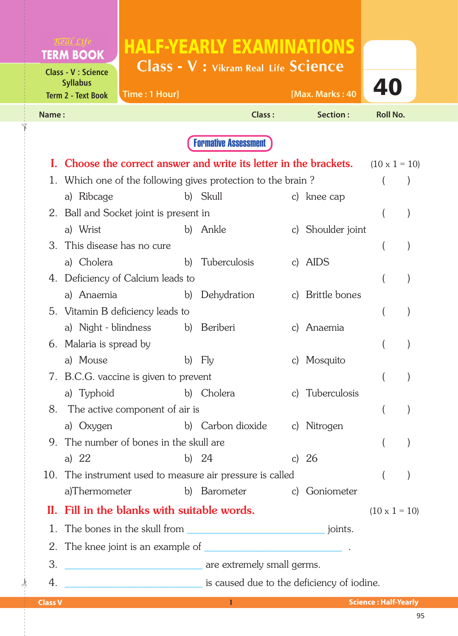|                                                                            |                                             | <b>HALF-YEARLY EXAMINATIONS</b>                                           |  |                   |                      |  |
|----------------------------------------------------------------------------|---------------------------------------------|---------------------------------------------------------------------------|--|-------------------|----------------------|--|
| <b>TERM BOOK</b>                                                           |                                             | <b>Class - V : Vikram Real Life Science</b>                               |  |                   |                      |  |
| <b>Class - V : Science</b><br><b>Syllabus</b><br><b>Term 2 - Text Book</b> | Time: 1 Hour]                               |                                                                           |  | [Max. Marks: 40   | 40                   |  |
| Name:                                                                      |                                             |                                                                           |  | Section:          | <b>Roll No.</b>      |  |
|                                                                            |                                             | <b>Class:</b>                                                             |  |                   |                      |  |
|                                                                            |                                             | <b>Formative Assessment</b>                                               |  |                   |                      |  |
| I.                                                                         |                                             | Choose the correct answer and write its letter in the brackets.           |  |                   | $(10 \times 1 = 10)$ |  |
|                                                                            |                                             | 1. Which one of the following gives protection to the brain?              |  |                   |                      |  |
| a) Ribcage                                                                 |                                             | b) Skull                                                                  |  | c) knee cap       |                      |  |
|                                                                            | 2. Ball and Socket joint is present in      |                                                                           |  |                   |                      |  |
| a) Wrist                                                                   |                                             | b) Ankle                                                                  |  | c) Shoulder joint |                      |  |
| This disease has no cure<br>$\mathcal{B}^-$                                |                                             |                                                                           |  |                   |                      |  |
| a) Cholera                                                                 | b)                                          | Tuberculosis                                                              |  | c) AIDS           |                      |  |
|                                                                            | 4. Deficiency of Calcium leads to           |                                                                           |  |                   |                      |  |
| a) Anaemia                                                                 | b)                                          | Dehydration                                                               |  | c) Brittle bones  |                      |  |
|                                                                            | 5. Vitamin B deficiency leads to            |                                                                           |  |                   |                      |  |
|                                                                            | a) Night - blindness                        | b) Beriberi                                                               |  | c) Anaemia        |                      |  |
|                                                                            | 6. Malaria is spread by                     |                                                                           |  |                   |                      |  |
|                                                                            | a) Mouse<br>Fly<br>b)<br>c) Mosquito        |                                                                           |  |                   |                      |  |
|                                                                            | 7. B.C.G. vaccine is given to prevent       |                                                                           |  |                   |                      |  |
|                                                                            |                                             | a) Typhoid b) Cholera                                                     |  | c) Tuberculosis   |                      |  |
|                                                                            | 8. The active component of air is           |                                                                           |  |                   |                      |  |
| a) Oxygen                                                                  |                                             | b) Carbon dioxide c) Nitrogen                                             |  |                   |                      |  |
|                                                                            | 9. The number of bones in the skull are     |                                                                           |  |                   |                      |  |
| a) 22                                                                      |                                             | b) $24$                                                                   |  | c) $26$           |                      |  |
|                                                                            | a)Thermometer                               | 10. The instrument used to measure air pressure is called<br>b) Barometer |  | c) Goniometer     |                      |  |
|                                                                            |                                             |                                                                           |  |                   |                      |  |
|                                                                            | II. Fill in the blanks with suitable words. |                                                                           |  |                   | $(10 \times 1 = 10)$ |  |
|                                                                            |                                             |                                                                           |  |                   |                      |  |
|                                                                            |                                             |                                                                           |  |                   |                      |  |
| 3.                                                                         | are extremely small germs.                  |                                                                           |  |                   |                      |  |
| 4.                                                                         |                                             | is caused due to the deficiency of iodine.                                |  |                   |                      |  |

 $\frac{1}{2}$ 

✁